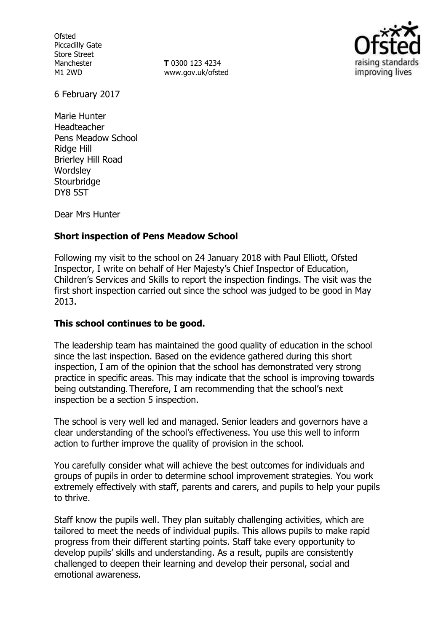**Ofsted** Piccadilly Gate Store Street Manchester M1 2WD

**T** 0300 123 4234 www.gov.uk/ofsted



6 February 2017

Marie Hunter Headteacher Pens Meadow School Ridge Hill Brierley Hill Road **Wordsley Stourbridge** DY8 5ST

Dear Mrs Hunter

## **Short inspection of Pens Meadow School**

Following my visit to the school on 24 January 2018 with Paul Elliott, Ofsted Inspector, I write on behalf of Her Majesty's Chief Inspector of Education, Children's Services and Skills to report the inspection findings. The visit was the first short inspection carried out since the school was judged to be good in May 2013.

## **This school continues to be good.**

The leadership team has maintained the good quality of education in the school since the last inspection. Based on the evidence gathered during this short inspection, I am of the opinion that the school has demonstrated very strong practice in specific areas. This may indicate that the school is improving towards being outstanding. Therefore, I am recommending that the school's next inspection be a section 5 inspection.

The school is very well led and managed. Senior leaders and governors have a clear understanding of the school's effectiveness. You use this well to inform action to further improve the quality of provision in the school.

You carefully consider what will achieve the best outcomes for individuals and groups of pupils in order to determine school improvement strategies. You work extremely effectively with staff, parents and carers, and pupils to help your pupils to thrive.

Staff know the pupils well. They plan suitably challenging activities, which are tailored to meet the needs of individual pupils. This allows pupils to make rapid progress from their different starting points. Staff take every opportunity to develop pupils' skills and understanding. As a result, pupils are consistently challenged to deepen their learning and develop their personal, social and emotional awareness.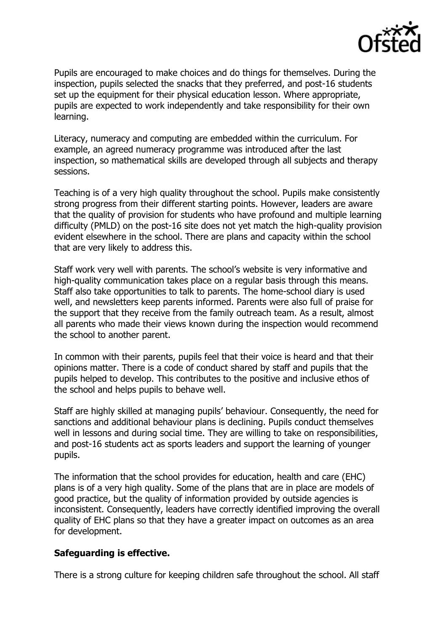

Pupils are encouraged to make choices and do things for themselves. During the inspection, pupils selected the snacks that they preferred, and post-16 students set up the equipment for their physical education lesson. Where appropriate, pupils are expected to work independently and take responsibility for their own learning.

Literacy, numeracy and computing are embedded within the curriculum. For example, an agreed numeracy programme was introduced after the last inspection, so mathematical skills are developed through all subjects and therapy sessions.

Teaching is of a very high quality throughout the school. Pupils make consistently strong progress from their different starting points. However, leaders are aware that the quality of provision for students who have profound and multiple learning difficulty (PMLD) on the post-16 site does not yet match the high-quality provision evident elsewhere in the school. There are plans and capacity within the school that are very likely to address this.

Staff work very well with parents. The school's website is very informative and high-quality communication takes place on a regular basis through this means. Staff also take opportunities to talk to parents. The home-school diary is used well, and newsletters keep parents informed. Parents were also full of praise for the support that they receive from the family outreach team. As a result, almost all parents who made their views known during the inspection would recommend the school to another parent.

In common with their parents, pupils feel that their voice is heard and that their opinions matter. There is a code of conduct shared by staff and pupils that the pupils helped to develop. This contributes to the positive and inclusive ethos of the school and helps pupils to behave well.

Staff are highly skilled at managing pupils' behaviour. Consequently, the need for sanctions and additional behaviour plans is declining. Pupils conduct themselves well in lessons and during social time. They are willing to take on responsibilities, and post-16 students act as sports leaders and support the learning of younger pupils.

The information that the school provides for education, health and care (EHC) plans is of a very high quality. Some of the plans that are in place are models of good practice, but the quality of information provided by outside agencies is inconsistent. Consequently, leaders have correctly identified improving the overall quality of EHC plans so that they have a greater impact on outcomes as an area for development.

### **Safeguarding is effective.**

There is a strong culture for keeping children safe throughout the school. All staff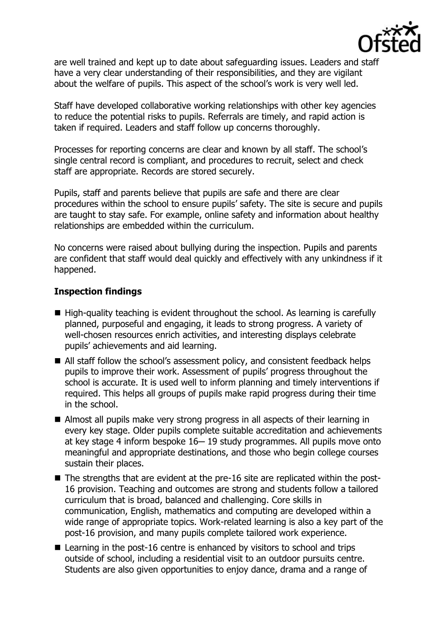

are well trained and kept up to date about safeguarding issues. Leaders and staff have a very clear understanding of their responsibilities, and they are vigilant about the welfare of pupils. This aspect of the school's work is very well led.

Staff have developed collaborative working relationships with other key agencies to reduce the potential risks to pupils. Referrals are timely, and rapid action is taken if required. Leaders and staff follow up concerns thoroughly.

Processes for reporting concerns are clear and known by all staff. The school's single central record is compliant, and procedures to recruit, select and check staff are appropriate. Records are stored securely.

Pupils, staff and parents believe that pupils are safe and there are clear procedures within the school to ensure pupils' safety. The site is secure and pupils are taught to stay safe. For example, online safety and information about healthy relationships are embedded within the curriculum.

No concerns were raised about bullying during the inspection. Pupils and parents are confident that staff would deal quickly and effectively with any unkindness if it happened.

## **Inspection findings**

- $\blacksquare$  High-quality teaching is evident throughout the school. As learning is carefully planned, purposeful and engaging, it leads to strong progress. A variety of well-chosen resources enrich activities, and interesting displays celebrate pupils' achievements and aid learning.
- All staff follow the school's assessment policy, and consistent feedback helps pupils to improve their work. Assessment of pupils' progress throughout the school is accurate. It is used well to inform planning and timely interventions if required. This helps all groups of pupils make rapid progress during their time in the school.
- Almost all pupils make very strong progress in all aspects of their learning in every key stage. Older pupils complete suitable accreditation and achievements at key stage 4 inform bespoke 16-19 study programmes. All pupils move onto meaningful and appropriate destinations, and those who begin college courses sustain their places.
- The strengths that are evident at the pre-16 site are replicated within the post-16 provision. Teaching and outcomes are strong and students follow a tailored curriculum that is broad, balanced and challenging. Core skills in communication, English, mathematics and computing are developed within a wide range of appropriate topics. Work-related learning is also a key part of the post-16 provision, and many pupils complete tailored work experience.
- Learning in the post-16 centre is enhanced by visitors to school and trips outside of school, including a residential visit to an outdoor pursuits centre. Students are also given opportunities to enjoy dance, drama and a range of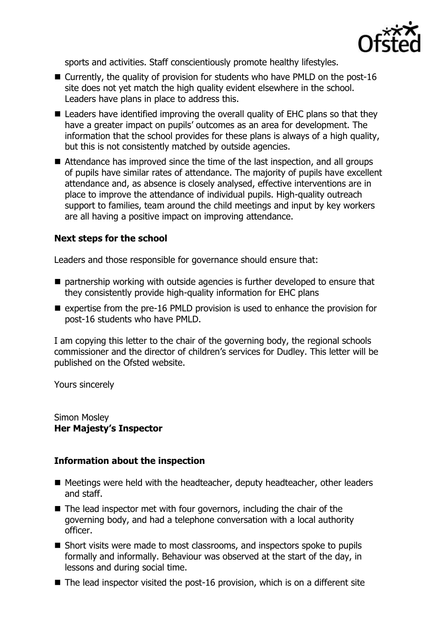

sports and activities. Staff conscientiously promote healthy lifestyles.

- Currently, the quality of provision for students who have PMLD on the post-16 site does not yet match the high quality evident elsewhere in the school. Leaders have plans in place to address this.
- Leaders have identified improving the overall quality of EHC plans so that they have a greater impact on pupils' outcomes as an area for development. The information that the school provides for these plans is always of a high quality, but this is not consistently matched by outside agencies.
- Attendance has improved since the time of the last inspection, and all groups of pupils have similar rates of attendance. The majority of pupils have excellent attendance and, as absence is closely analysed, effective interventions are in place to improve the attendance of individual pupils. High-quality outreach support to families, team around the child meetings and input by key workers are all having a positive impact on improving attendance.

# **Next steps for the school**

Leaders and those responsible for governance should ensure that:

- $\blacksquare$  partnership working with outside agencies is further developed to ensure that they consistently provide high-quality information for EHC plans
- $\blacksquare$  expertise from the pre-16 PMLD provision is used to enhance the provision for post-16 students who have PMLD.

I am copying this letter to the chair of the governing body, the regional schools commissioner and the director of children's services for Dudley. This letter will be published on the Ofsted website.

Yours sincerely

Simon Mosley **Her Majesty's Inspector**

## **Information about the inspection**

- Meetings were held with the headteacher, deputy headteacher, other leaders and staff.
- $\blacksquare$  The lead inspector met with four governors, including the chair of the governing body, and had a telephone conversation with a local authority officer.
- Short visits were made to most classrooms, and inspectors spoke to pupils formally and informally. Behaviour was observed at the start of the day, in lessons and during social time.
- The lead inspector visited the post-16 provision, which is on a different site